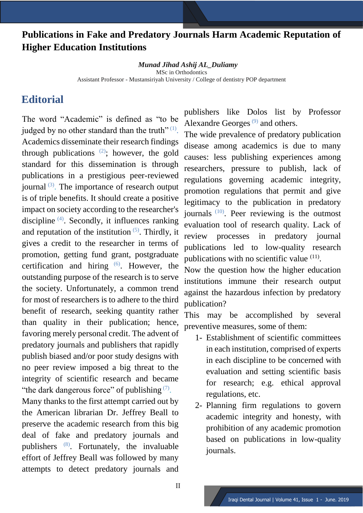## **Publications in Fake and Predatory Journals Harm Academic Reputation of Higher Education Institutions**

*Munad Jihad Ashij AL\_Duliamy* MSc in Orthodontics Assistant Professor - Mustansiriyah University / College of dentistry POP department

## **Editorial**

The word "Academic" is defined as "to be judged by no other standard than the truth" $^{(1)}$ . Academics disseminate their research findings through publications  $(2)$ ; however, the gold standard for this dissemination is through publications in a prestigious peer-reviewed journal<sup>(3)</sup>. The importance of research output is of triple benefits. It should create a positive impact on society according to the researcher's discipline (4). Secondly, it influences ranking and reputation of the institution  $(5)$ . Thirdly, it gives a credit to the researcher in terms of promotion, getting fund grant, postgraduate certification and hiring  $(6)$ . However, the outstanding purpose of the research is to serve the society. Unfortunately, a common trend for most of researchers is to adhere to the third benefit of research, seeking quantity rather than quality in their publication; hence, favoring merely personal credit. The advent of predatory journals and publishers that rapidly publish biased and/or poor study designs with no peer review imposed a big threat to the integrity of scientific research and became "the dark dangerous force" of publishing  $(7)$ .

Many thanks to the first attempt carried out by the American librarian Dr. Jeffrey Beall to preserve the academic research from this big deal of fake and predatory journals and publishers (8). Fortunately, the invaluable effort of Jeffrey Beall was followed by many attempts to detect predatory journals and

publishers like Dolos list by Professor Alexandre Georges $^{(9)}$  and others.

The wide prevalence of predatory publication disease among academics is due to many causes: less publishing experiences among researchers, pressure to publish, lack of regulations governing academic integrity, promotion regulations that permit and give legitimacy to the publication in predatory journals<sup>(10)</sup>. Peer reviewing is the outmost evaluation tool of research quality. Lack of review processes in predatory journal publications led to low-quality research publications with no scientific value  $(11)$ .

Now the question how the higher education institutions immune their research output against the hazardous infection by predatory publication?

This may be accomplished by several preventive measures, some of them:

- 1- Establishment of scientific committees in each institution, comprised of experts in each discipline to be concerned with evaluation and setting scientific basis for research; e.g. ethical approval regulations, etc.
- 2- Planning firm regulations to govern academic integrity and honesty, with prohibition of any academic promotion based on publications in low-quality journals.